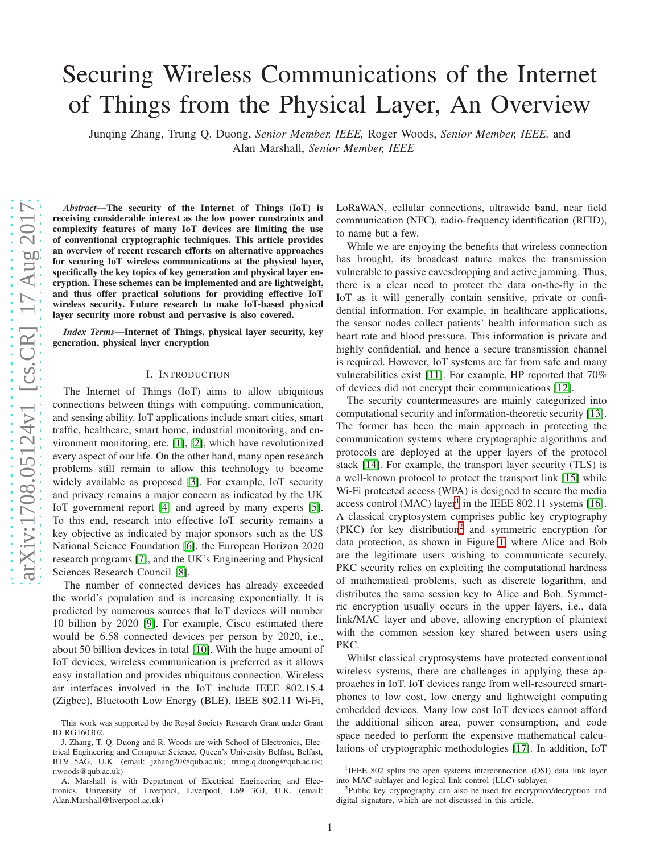# Securing Wireless Communications of the Internet of Things from the Physical Layer, An Overview

Junqing Zhang, Trung Q. Duong, *Senior Member, IEEE,* Roger Woods, *Senior Member, IEEE,* and Alan Marshall, *Senior Member, IEEE*

*Abstract*—The security of the Internet of Things (IoT) is receiving considerable interest as the low power constraints and complexity features of many IoT devices are limiting the use of conventional cryptographic techniques. This article provides an overview of recent research efforts on alternative approaches for securing IoT wireless communications at the physical layer, specifically the key topics of key generation and physical layer encryption. These schemes can be implemented and are lightweight, and thus offer practical solutions for providing effective IoT wireless security. Future research to make IoT-based physical layer security more robust and pervasive is also covered.

*Index Terms*—Internet of Things, physical layer security, key generation, physical layer encryption

#### I. INTRODUCTION

The Internet of Things (IoT) aims to allow ubiquitous connections between things with computing, communication , and sensing ability. IoT applications include smart cities, smart traffic, healthcare, smart home, industrial monitoring, and environment monitoring, etc. [\[1\]](#page-7-0), [\[2\]](#page-7-1), which have revolutionized every aspect of our life. On the other hand, many open researc h problems still remain to allow this technology to become widely available as proposed [\[3\]](#page-8-0). For example, IoT security and privacy remains a major concern as indicated by the UK IoT government report [\[4\]](#page-8-1) and agreed by many experts [\[5\]](#page-8-2). To this end, research into effective IoT security remains a key objective as indicated by major sponsors such as the US National Science Foundation [\[6\]](#page-8-3), the European Horizon 2020 research programs [\[7\]](#page-8-4), and the UK's Engineering and Physica l Sciences Research Council [\[8\]](#page-8-5).

The number of connected devices has already exceeded the world's population and is increasing exponentially. It is predicted by numerous sources that IoT devices will number 10 billion by 2020 [\[9\]](#page-8-6). For example, Cisco estimated there would be 6.58 connected devices per person by 2020, i.e., about 50 billion devices in total [\[10\]](#page-8-7). With the huge amount o f IoT devices, wireless communication is preferred as it allows easy installation and provides ubiquitous connection. Wireless air interfaces involved in the IoT include IEEE 802.15.4 (Zigbee), Bluetooth Low Energy (BLE), IEEE 802.11 Wi-Fi, LoRaWAN, cellular connections, ultrawide band, near field communication (NFC), radio-frequency identification (RFID), to name but a few.

While we are enjoying the benefits that wireless connection has brought, its broadcast nature makes the transmission vulnerable to passive eavesdropping and active jamming. Thus, there is a clear need to protect the data on-the-fly in the IoT as it will generally contain sensitive, private or confidential information. For example, in healthcare applications, the sensor nodes collect patients' health information such as heart rate and blood pressure. This information is private and highly confidential, and hence a secure transmission channe l is required. However, IoT systems are far from safe and many vulnerabilities exist [\[11\]](#page-8-8). For example, HP reported that 70% of devices did not encrypt their communications [\[12\]](#page-8-9).

The security countermeasures are mainly categorized into computational security and information-theoretic security [\[13\]](#page-8-10). The former has been the main approach in protecting the communication systems where cryptographic algorithms and protocols are deployed at the upper layers of the protocol stack [\[14\]](#page-8-11). For example, the transport layer security (TLS) is a well-known protocol to protect the transport link [\[15\]](#page-8-12) while Wi-Fi protected access (WPA) is designed to secure the media access control (MAC) layer<sup>1</sup> in the IEEE 802.11 systems [\[16\]](#page-8-13). A classical cryptosystem comprises public key cryptograph y (PKC) for key distribution 2 and symmetric encryption for data protection, as shown in Figure [1,](#page-1-0) where Alice and Bob are the legitimate users wishing to communicate securely. PKC security relies on exploiting the computational hardness of mathematical problems, such as discrete logarithm, and distributes the same session key to Alice and Bob. Symmetric encryption usually occurs in the upper layers, i.e., data link/MAC layer and above, allowing encryption of plaintext with the common session key shared between users using PKC.

Whilst classical cryptosystems have protected conventional wireless systems, there are challenges in applying these approaches in IoT. IoT devices range from well-resourced smartphones to low cost, low energy and lightweight computing embedded devices. Many low cost IoT devices cannot afford the additional silicon area, power consumption, and code space needed to perform the expensive mathematical calculations of cryptographic methodologies [\[17\]](#page-8-14). In addition, IoT

This work was supported by the Royal Society Research Grant under Grant ID RG160302.

J. Zhang, T. Q. Duong and R. Woods are with School of Electronics, Electrical Engineering and Computer Science, Queen's University Belfast, Belfast, BT9 5AG, U.K. (email: jzhang20@qub.ac.uk; trung.q.duong@qub.ac.uk; r.woods@qub.ac.uk)

A. Marshall is with Department of Electrical Engineering and Electronics, University of Liverpool, Liverpool, L69 3GJ, U.K. (email: Alan.Marshall@liverpool.ac.uk)

<sup>&</sup>lt;sup>1</sup>IEEE 802 splits the open systems interconnection (OSI) data link layer into MAC sublayer and logical link control (LLC) sublayer.

<sup>2</sup>Public key cryptography can also be used for encryption/decryption and digital signature, which are not discussed in this article.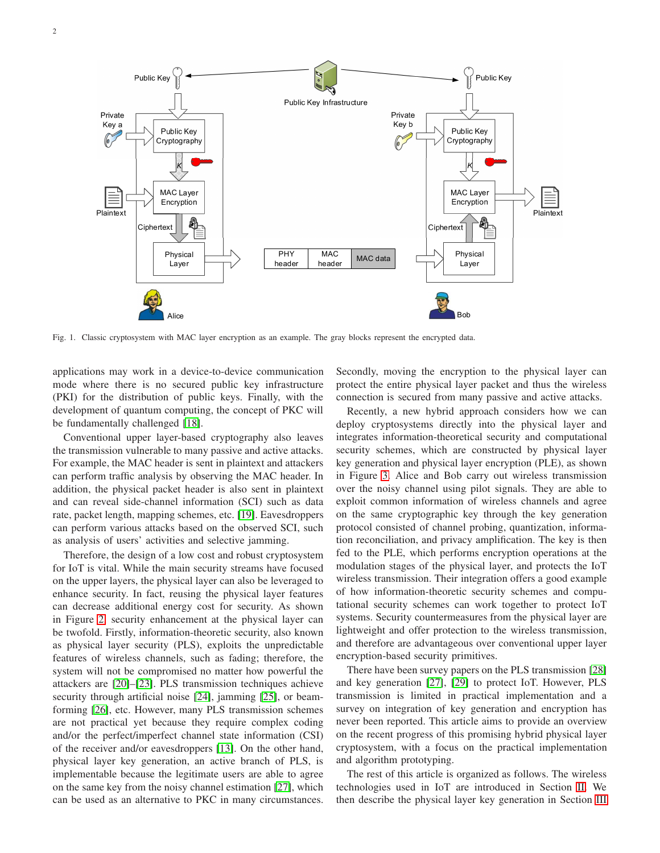

<span id="page-1-0"></span>Fig. 1. Classic cryptosystem with MAC layer encryption as an example. The gray blocks represent the encrypted data.

applications may work in a device-to-device communication mode where there is no secured public key infrastructure (PKI) for the distribution of public keys. Finally, with the development of quantum computing, the concept of PKC will be fundamentally challenged [\[18\]](#page-8-15).

Conventional upper layer-based cryptography also leaves the transmission vulnerable to many passive and active attacks. For example, the MAC header is sent in plaintext and attackers can perform traffic analysis by observing the MAC header. In addition, the physical packet header is also sent in plaintext and can reveal side-channel information (SCI) such as data rate, packet length, mapping schemes, etc. [\[19\]](#page-8-16). Eavesdroppers can perform various attacks based on the observed SCI, such as analysis of users' activities and selective jamming.

Therefore, the design of a low cost and robust cryptosystem for IoT is vital. While the main security streams have focused on the upper layers, the physical layer can also be leveraged to enhance security. In fact, reusing the physical layer features can decrease additional energy cost for security. As shown in Figure [2,](#page-2-0) security enhancement at the physical layer can be twofold. Firstly, information-theoretic security, also known as physical layer security (PLS), exploits the unpredictable features of wireless channels, such as fading; therefore, the system will not be compromised no matter how powerful the attackers are [\[20\]](#page-8-17)–[\[23\]](#page-8-18). PLS transmission techniques achieve security through artificial noise [\[24\]](#page-8-19), jamming [\[25\]](#page-8-20), or beamforming [\[26\]](#page-8-21), etc. However, many PLS transmission schemes are not practical yet because they require complex coding and/or the perfect/imperfect channel state information (CSI) of the receiver and/or eavesdroppers [\[13\]](#page-8-10). On the other hand, physical layer key generation, an active branch of PLS, is implementable because the legitimate users are able to agree on the same key from the noisy channel estimation [\[27\]](#page-8-22), which can be used as an alternative to PKC in many circumstances.

Secondly, moving the encryption to the physical layer can protect the entire physical layer packet and thus the wireless connection is secured from many passive and active attacks.

Recently, a new hybrid approach considers how we can deploy cryptosystems directly into the physical layer and integrates information-theoretical security and computational security schemes, which are constructed by physical layer key generation and physical layer encryption (PLE), as shown in Figure [3.](#page-2-1) Alice and Bob carry out wireless transmission over the noisy channel using pilot signals. They are able to exploit common information of wireless channels and agree on the same cryptographic key through the key generation protocol consisted of channel probing, quantization, information reconciliation, and privacy amplification. The key is then fed to the PLE, which performs encryption operations at the modulation stages of the physical layer, and protects the IoT wireless transmission. Their integration offers a good example of how information-theoretic security schemes and computational security schemes can work together to protect IoT systems. Security countermeasures from the physical layer are lightweight and offer protection to the wireless transmission, and therefore are advantageous over conventional upper layer encryption-based security primitives.

There have been survey papers on the PLS transmission [\[28\]](#page-8-23) and key generation [\[27\]](#page-8-22), [\[29\]](#page-8-24) to protect IoT. However, PLS transmission is limited in practical implementation and a survey on integration of key generation and encryption has never been reported. This article aims to provide an overview on the recent progress of this promising hybrid physical layer cryptosystem, with a focus on the practical implementation and algorithm prototyping.

The rest of this article is organized as follows. The wireless technologies used in IoT are introduced in Section [II.](#page-2-2) We then describe the physical layer key generation in Section [III](#page-3-0)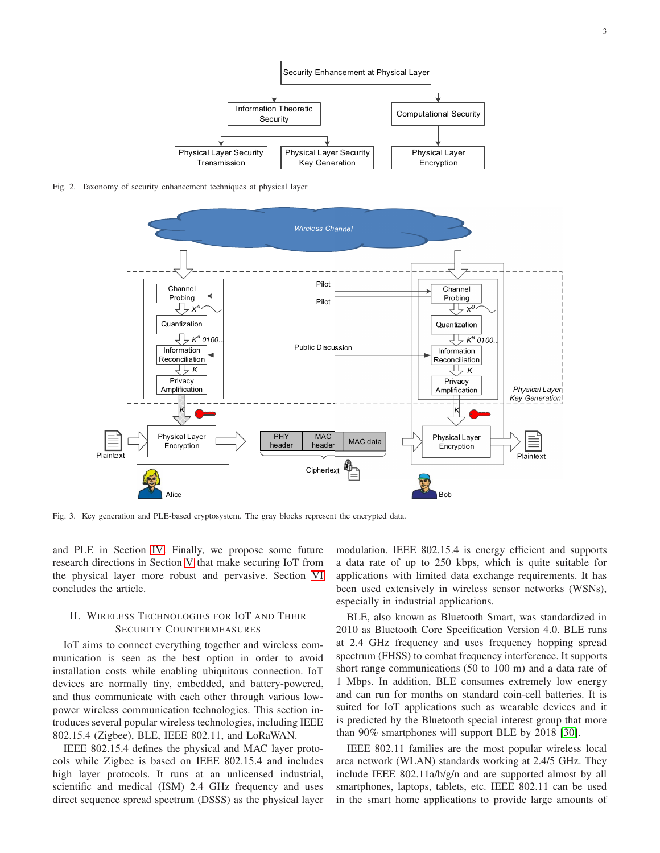

Fig. 2. Taxonomy of security enhancement techniques at physical layer

<span id="page-2-0"></span>

<span id="page-2-1"></span>Fig. 3. Key generation and PLE-based cryptosystem. The gray blocks represent the encrypted data.

and PLE in Section [IV.](#page-5-0) Finally, we propose some future research directions in Section [V](#page-7-2) that make securing IoT from the physical layer more robust and pervasive. Section [VI](#page-7-3) concludes the article.

# <span id="page-2-2"></span>II. WIRELESS TECHNOLOGIES FOR IOT AND THEIR SECURITY COUNTERMEASURES

IoT aims to connect everything together and wireless communication is seen as the best option in order to avoid installation costs while enabling ubiquitous connection. IoT devices are normally tiny, embedded, and battery-powered, and thus communicate with each other through various lowpower wireless communication technologies. This section introduces several popular wireless technologies, including IEEE 802.15.4 (Zigbee), BLE, IEEE 802.11, and LoRaWAN.

IEEE 802.15.4 defines the physical and MAC layer protocols while Zigbee is based on IEEE 802.15.4 and includes high layer protocols. It runs at an unlicensed industrial, scientific and medical (ISM) 2.4 GHz frequency and uses direct sequence spread spectrum (DSSS) as the physical layer

modulation. IEEE 802.15.4 is energy efficient and supports a data rate of up to 250 kbps, which is quite suitable for applications with limited data exchange requirements. It has been used extensively in wireless sensor networks (WSNs), especially in industrial applications.

BLE, also known as Bluetooth Smart, was standardized in 2010 as Bluetooth Core Specification Version 4.0. BLE runs at 2.4 GHz frequency and uses frequency hopping spread spectrum (FHSS) to combat frequency interference. It supports short range communications (50 to 100 m) and a data rate of 1 Mbps. In addition, BLE consumes extremely low energy and can run for months on standard coin-cell batteries. It is suited for IoT applications such as wearable devices and it is predicted by the Bluetooth special interest group that more than 90% smartphones will support BLE by 2018 [\[30\]](#page-8-25).

IEEE 802.11 families are the most popular wireless local area network (WLAN) standards working at 2.4/5 GHz. They include IEEE 802.11a/b/g/n and are supported almost by all smartphones, laptops, tablets, etc. IEEE 802.11 can be used in the smart home applications to provide large amounts of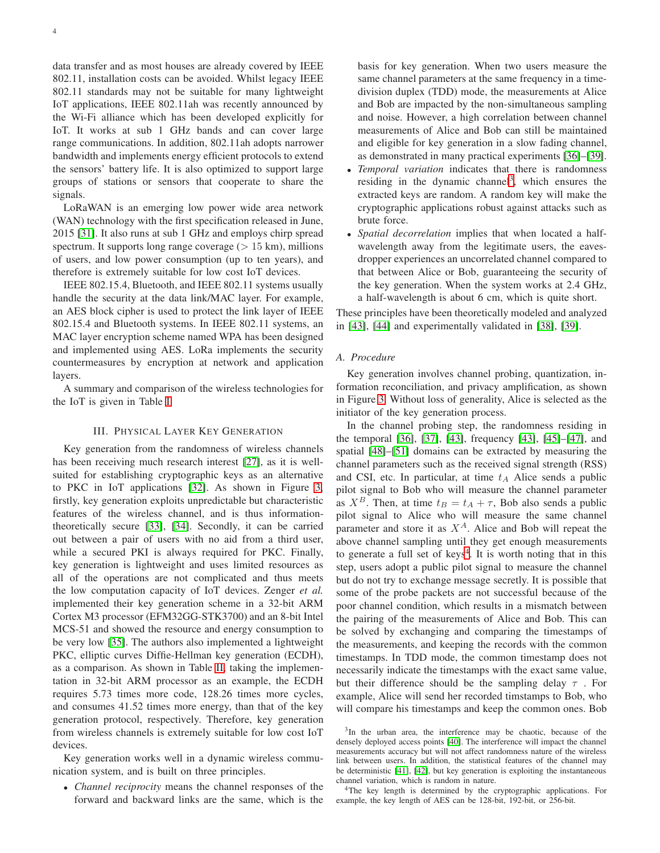data transfer and as most houses are already covered by IEEE 802.11, installation costs can be avoided. Whilst legacy IEEE 802.11 standards may not be suitable for many lightweight IoT applications, IEEE 802.11ah was recently announced by the Wi-Fi alliance which has been developed explicitly for IoT. It works at sub 1 GHz bands and can cover large range communications. In addition, 802.11ah adopts narrower bandwidth and implements energy efficient protocols to extend the sensors' battery life. It is also optimized to support large groups of stations or sensors that cooperate to share the signals.

LoRaWAN is an emerging low power wide area network (WAN) technology with the first specification released in June, 2015 [\[31\]](#page-8-26). It also runs at sub 1 GHz and employs chirp spread spectrum. It supports long range coverage  $(> 15 \text{ km})$ , millions of users, and low power consumption (up to ten years), and therefore is extremely suitable for low cost IoT devices.

IEEE 802.15.4, Bluetooth, and IEEE 802.11 systems usually handle the security at the data link/MAC layer. For example, an AES block cipher is used to protect the link layer of IEEE 802.15.4 and Bluetooth systems. In IEEE 802.11 systems, an MAC layer encryption scheme named WPA has been designed and implemented using AES. LoRa implements the security countermeasures by encryption at network and application layers.

<span id="page-3-0"></span>A summary and comparison of the wireless technologies for the IoT is given in Table [I.](#page-4-0)

## III. PHYSICAL LAYER KEY GENERATION

Key generation from the randomness of wireless channels has been receiving much research interest [\[27\]](#page-8-22), as it is wellsuited for establishing cryptographic keys as an alternative to PKC in IoT applications [\[32\]](#page-8-27). As shown in Figure [3,](#page-2-1) firstly, key generation exploits unpredictable but characteristic features of the wireless channel, and is thus informationtheoretically secure [\[33\]](#page-8-28), [\[34\]](#page-8-29). Secondly, it can be carried out between a pair of users with no aid from a third user, while a secured PKI is always required for PKC. Finally, key generation is lightweight and uses limited resources as all of the operations are not complicated and thus meets the low computation capacity of IoT devices. Zenger *et al.* implemented their key generation scheme in a 32-bit ARM Cortex M3 processor (EFM32GG-STK3700) and an 8-bit Intel MCS-51 and showed the resource and energy consumption to be very low [\[35\]](#page-8-30). The authors also implemented a lightweight PKC, elliptic curves Diffie-Hellman key generation (ECDH), as a comparison. As shown in Table [II,](#page-4-1) taking the implementation in 32-bit ARM processor as an example, the ECDH requires 5.73 times more code, 128.26 times more cycles, and consumes 41.52 times more energy, than that of the key generation protocol, respectively. Therefore, key generation from wireless channels is extremely suitable for low cost IoT devices.

Key generation works well in a dynamic wireless communication system, and is built on three principles.

• *Channel reciprocity* means the channel responses of the forward and backward links are the same, which is the basis for key generation. When two users measure the same channel parameters at the same frequency in a timedivision duplex (TDD) mode, the measurements at Alice and Bob are impacted by the non-simultaneous sampling and noise. However, a high correlation between channel measurements of Alice and Bob can still be maintained and eligible for key generation in a slow fading channel, as demonstrated in many practical experiments [\[36\]](#page-8-31)–[\[39\]](#page-8-32).

- *Temporal variation* indicates that there is randomness residing in the dynamic channel<sup>3</sup>, which ensures the extracted keys are random. A random key will make the cryptographic applications robust against attacks such as brute force.
- *Spatial decorrelation* implies that when located a halfwavelength away from the legitimate users, the eavesdropper experiences an uncorrelated channel compared to that between Alice or Bob, guaranteeing the security of the key generation. When the system works at 2.4 GHz, a half-wavelength is about 6 cm, which is quite short.

These principles have been theoretically modeled and analyzed in [\[43\]](#page-8-33), [\[44\]](#page-8-34) and experimentally validated in [\[38\]](#page-8-35), [\[39\]](#page-8-32).

# *A. Procedure*

Key generation involves channel probing, quantization, information reconciliation, and privacy amplification, as shown in Figure [3.](#page-2-1) Without loss of generality, Alice is selected as the initiator of the key generation process.

In the channel probing step, the randomness residing in the temporal [\[36\]](#page-8-31), [\[37\]](#page-8-36), [\[43\]](#page-8-33), frequency [\[43\]](#page-8-33), [\[45\]](#page-8-37)–[\[47\]](#page-9-0), and spatial [\[48\]](#page-9-1)–[\[51\]](#page-9-2) domains can be extracted by measuring the channel parameters such as the received signal strength (RSS) and CSI, etc. In particular, at time  $t_A$  Alice sends a public pilot signal to Bob who will measure the channel parameter as  $X^B$ . Then, at time  $t_B = t_A + \tau$ , Bob also sends a public pilot signal to Alice who will measure the same channel parameter and store it as  $X^A$ . Alice and Bob will repeat the above channel sampling until they get enough measurements to generate a full set of keys<sup>4</sup>. It is worth noting that in this step, users adopt a public pilot signal to measure the channel but do not try to exchange message secretly. It is possible that some of the probe packets are not successful because of the poor channel condition, which results in a mismatch between the pairing of the measurements of Alice and Bob. This can be solved by exchanging and comparing the timestamps of the measurements, and keeping the records with the common timestamps. In TDD mode, the common timestamp does not necessarily indicate the timestamps with the exact same value, but their difference should be the sampling delay  $\tau$ . For example, Alice will send her recorded timstamps to Bob, who will compare his timestamps and keep the common ones. Bob

<sup>4</sup>The key length is determined by the cryptographic applications. For example, the key length of AES can be 128-bit, 192-bit, or 256-bit.

<sup>&</sup>lt;sup>3</sup>In the urban area, the interference may be chaotic, because of the densely deployed access points [\[40\]](#page-8-38). The interference will impact the channel measurements accuracy but will not affect randomness nature of the wireless link between users. In addition, the statistical features of the channel may be deterministic [\[41\]](#page-8-39), [\[42\]](#page-8-40), but key generation is exploiting the instantaneous channel variation, which is random in nature.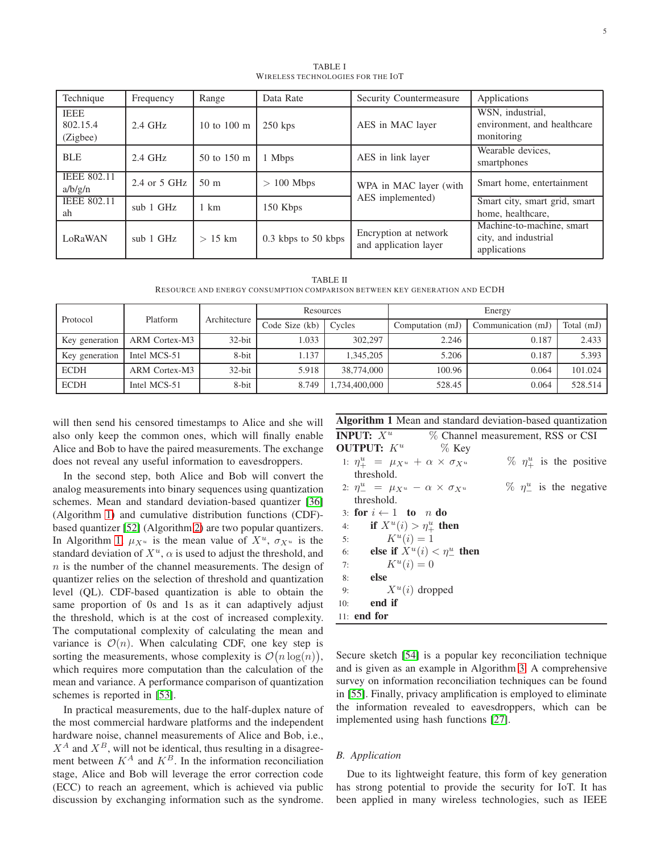<span id="page-4-0"></span>

| Technique                           | Frequency      | Range           | Data Rate               | Security Countermeasure                        | Applications                                                      |
|-------------------------------------|----------------|-----------------|-------------------------|------------------------------------------------|-------------------------------------------------------------------|
| <b>IEEE</b><br>802.15.4<br>(Zigbee) | $2.4$ GHz      | 10 to 100 m     | $250$ kps               | AES in MAC layer                               | WSN, industrial,<br>environment, and healthcare<br>monitoring     |
| <b>BLE</b>                          | $2.4$ GHz      | 50 to 150 m     | 1 Mbps                  | AES in link layer                              | Wearable devices.<br>smartphones                                  |
| <b>IEEE 802.11</b><br>a/b/g/n       | 2.4 or $5$ GHz | 50 <sub>m</sub> | $> 100$ Mbps            | WPA in MAC layer (with                         | Smart home, entertainment                                         |
| <b>IEEE 802.11</b><br>ah            | $sub$ 1 GHz    | $1 \text{ km}$  | 150 Kbps                | AES implemented)                               | Smart city, smart grid, smart<br>home, healthcare,                |
| LoRaWAN                             | $sub$ 1 GHz    | $> 15$ km       | $0.3$ kbps to $50$ kbps | Encryption at network<br>and application layer | Machine-to-machine, smart<br>city, and industrial<br>applications |

TABLE I WIRELESS TECHNOLOGIES FOR THE IOT

| TABLE II                                                                   |  |
|----------------------------------------------------------------------------|--|
| RESOURCE AND ENERGY CONSUMPTION COMPARISON BETWEEN KEY GENERATION AND ECDH |  |

<span id="page-4-1"></span>

| Protocol       | Platform      | Architecture | Resources      |              | Energy           |                    |            |
|----------------|---------------|--------------|----------------|--------------|------------------|--------------------|------------|
|                |               |              | Code Size (kb) | Cycles       | Computation (mJ) | Communication (mJ) | Total (mJ) |
| Key generation | ARM Cortex-M3 | $32$ -bit    | 1.033          | 302,297      | 2.246            | 0.187              | 2.433      |
| Key generation | Intel MCS-51  | 8-bit        | 1.137          | 1.345.205    | 5.206            | 0.187              | 5.393      |
| <b>ECDH</b>    | ARM Cortex-M3 | $32$ -bit    | 5.918          | 38,774,000   | 100.96           | 0.064              | 101.024    |
| <b>ECDH</b>    | Intel MCS-51  | 8-bit        | 8.749          | ,734,400,000 | 528.45           | 0.064              | 528.514    |

will then send his censored timestamps to Alice and she will also only keep the common ones, which will finally enable Alice and Bob to have the paired measurements. The exchange does not reveal any useful information to eavesdroppers.

In the second step, both Alice and Bob will convert the analog measurements into binary sequences using quantization schemes. Mean and standard deviation-based quantizer [\[36\]](#page-8-31) (Algorithm [1\)](#page-4-2) and cumulative distribution functions (CDF) based quantizer [\[52\]](#page-9-3) (Algorithm [2\)](#page-5-1) are two popular quantizers. In Algorithm [1,](#page-4-2)  $\mu_{X^u}$  is the mean value of  $X^u$ ,  $\sigma_{X^u}$  is the standard deviation of  $X^u$ ,  $\alpha$  is used to adjust the threshold, and  $n$  is the number of the channel measurements. The design of quantizer relies on the selection of threshold and quantization level (QL). CDF-based quantization is able to obtain the same proportion of 0s and 1s as it can adaptively adjust the threshold, which is at the cost of increased complexity. The computational complexity of calculating the mean and variance is  $\mathcal{O}(n)$ . When calculating CDF, one key step is sorting the measurements, whose complexity is  $\mathcal{O}(n \log(n)),$ which requires more computation than the calculation of the mean and variance. A performance comparison of quantization schemes is reported in [\[53\]](#page-9-4).

In practical measurements, due to the half-duplex nature of the most commercial hardware platforms and the independent hardware noise, channel measurements of Alice and Bob, i.e.,  $X^A$  and  $X^B$ , will not be identical, thus resulting in a disagreement between  $K^A$  and  $K^B$ . In the information reconciliation stage, Alice and Bob will leverage the error correction code (ECC) to reach an agreement, which is achieved via public discussion by exchanging information such as the syndrome.

<span id="page-4-2"></span>Algorithm 1 Mean and standard deviation-based quantization

| <b>INPUT:</b> $X^u$                                      | % Channel measurement, RSS or CSI |  |                                     |
|----------------------------------------------------------|-----------------------------------|--|-------------------------------------|
| OUTPUT: $K^u$                                            | $\%$ Key                          |  |                                     |
| 1: $\eta^u_+ = \mu_{X^u} + \alpha \times \sigma_{X^u}$   |                                   |  | $\%$ $\eta_{+}^{u}$ is the positive |
| threshold.                                               |                                   |  |                                     |
| 2: $\eta_{-}^u = \mu_{X^u} - \alpha \times \sigma_{X^u}$ |                                   |  | $\%$ $\eta_{-}^{u}$ is the negative |
| threshold.                                               |                                   |  |                                     |
| 3: for $i \leftarrow 1$ to n do                          |                                   |  |                                     |
| if $X^u(i) > \eta^u_+$ then<br>4:                        |                                   |  |                                     |
| $K^u(i) = 1$<br>5:                                       |                                   |  |                                     |
| 6:                                                       | else if $X^u(i) < \eta^u$ then    |  |                                     |
| $K^u(i) = 0$<br>7:                                       |                                   |  |                                     |
| else<br>8:                                               |                                   |  |                                     |
| $X^u(i)$ dropped<br>9:                                   |                                   |  |                                     |
| end if<br>10:                                            |                                   |  |                                     |
| 11: end for                                              |                                   |  |                                     |

Secure sketch [\[54\]](#page-9-5) is a popular key reconciliation technique and is given as an example in Algorithm [3.](#page-5-2) A comprehensive survey on information reconciliation techniques can be found in [\[55\]](#page-9-6). Finally, privacy amplification is employed to eliminate the information revealed to eavesdroppers, which can be implemented using hash functions [\[27\]](#page-8-22).

## *B. Application*

Due to its lightweight feature, this form of key generation has strong potential to provide the security for IoT. It has been applied in many wireless technologies, such as IEEE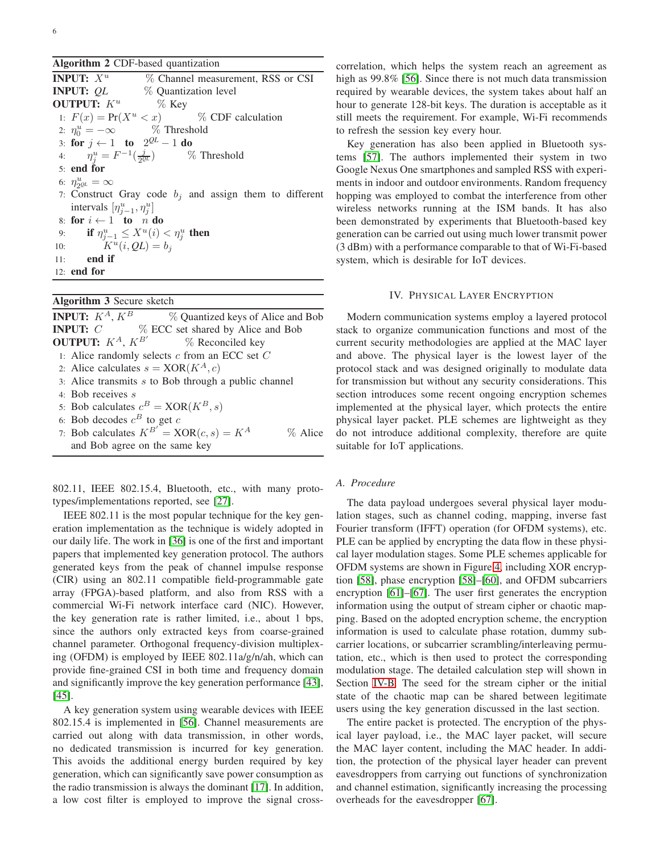## <span id="page-5-1"></span>Algorithm 2 CDF-based quantization

| <b>INPUT:</b> $X^u$                        | % Channel measurement, RSS or CSI                            |
|--------------------------------------------|--------------------------------------------------------------|
| <b>INPUT: OL</b>                           | % Quantization level                                         |
| <b>OUTPUT:</b> $K^u$ % Key                 |                                                              |
|                                            | 1: $F(x) = Pr(X^u < x)$ % CDF calculation                    |
|                                            | 2: $\eta_0^u = -\infty$ % Threshold                          |
| 3: for $j \leftarrow 1$ to $2^{QL} - 1$ do |                                                              |
|                                            | 4: $\eta_i^u = F^{-1}(\frac{\jmath}{2\alpha L})$ % Threshold |
| $5:$ end for                               |                                                              |
| 6: $\eta_{20L}^u = \infty$                 |                                                              |
|                                            | 7: Construct Gray code $b_j$ and assign them to different    |
| intervals $[\eta_{i-1}^u, \eta_i^u]$       |                                                              |
| 8: for $i \leftarrow 1$ to n do            |                                                              |
|                                            | 9: <b>if</b> $\eta_{i-1}^u \le X^u(i) < \eta_i^u$ then       |
| 10: $K^u(i, QL) = b_i$                     |                                                              |
| $11:$ end if                               |                                                              |
| $12:$ end for                              |                                                              |
|                                            |                                                              |

# <span id="page-5-2"></span>Algorithm 3 Secure sketch

**INPUT:**  $K^A$ ,  $K^B$  % Quantized keys of Alice and Bob **INPUT:**  $C$  % ECC set shared by Alice and Bob **OUTPUT:**  $K^A$ ,  $K^{B'}$ % Reconciled key 1: Alice randomly selects  $c$  from an ECC set  $C$ 2: Alice calculates  $s = XOR(K^A, c)$ 3: Alice transmits  $s$  to Bob through a public channel 4: Bob receives s 5: Bob calculates  $c^B = XOR(K^B, s)$ 6: Bob decodes  $c^B$  to get  $c$ 7: Bob calculates  $K^{B'}$  = XOR $(c, s) = K^A$  % Alice and Bob agree on the same key

802.11, IEEE 802.15.4, Bluetooth, etc., with many prototypes/implementations reported, see [\[27\]](#page-8-22).

IEEE 802.11 is the most popular technique for the key generation implementation as the technique is widely adopted in our daily life. The work in [\[36\]](#page-8-31) is one of the first and important papers that implemented key generation protocol. The authors generated keys from the peak of channel impulse response (CIR) using an 802.11 compatible field-programmable gate array (FPGA)-based platform, and also from RSS with a commercial Wi-Fi network interface card (NIC). However, the key generation rate is rather limited, i.e., about 1 bps, since the authors only extracted keys from coarse-grained channel parameter. Orthogonal frequency-division multiplexing (OFDM) is employed by IEEE 802.11a/g/n/ah, which can provide fine-grained CSI in both time and frequency domain and significantly improve the key generation performance [\[43\]](#page-8-33), [\[45\]](#page-8-37).

A key generation system using wearable devices with IEEE 802.15.4 is implemented in [\[56\]](#page-9-7). Channel measurements are carried out along with data transmission, in other words, no dedicated transmission is incurred for key generation. This avoids the additional energy burden required by key generation, which can significantly save power consumption as the radio transmission is always the dominant [\[17\]](#page-8-14). In addition, a low cost filter is employed to improve the signal crosscorrelation, which helps the system reach an agreement as high as 99.8% [\[56\]](#page-9-7). Since there is not much data transmission required by wearable devices, the system takes about half an hour to generate 128-bit keys. The duration is acceptable as it still meets the requirement. For example, Wi-Fi recommends to refresh the session key every hour.

Key generation has also been applied in Bluetooth systems [\[57\]](#page-9-8). The authors implemented their system in two Google Nexus One smartphones and sampled RSS with experiments in indoor and outdoor environments. Random frequency hopping was employed to combat the interference from other wireless networks running at the ISM bands. It has also been demonstrated by experiments that Bluetooth-based key generation can be carried out using much lower transmit power (3 dBm) with a performance comparable to that of Wi-Fi-based system, which is desirable for IoT devices.

## IV. PHYSICAL LAYER ENCRYPTION

<span id="page-5-0"></span>Modern communication systems employ a layered protocol stack to organize communication functions and most of the current security methodologies are applied at the MAC layer and above. The physical layer is the lowest layer of the protocol stack and was designed originally to modulate data for transmission but without any security considerations. This section introduces some recent ongoing encryption schemes implemented at the physical layer, which protects the entire physical layer packet. PLE schemes are lightweight as they do not introduce additional complexity, therefore are quite suitable for IoT applications.

# *A. Procedure*

The data payload undergoes several physical layer modulation stages, such as channel coding, mapping, inverse fast Fourier transform (IFFT) operation (for OFDM systems), etc. PLE can be applied by encrypting the data flow in these physical layer modulation stages. Some PLE schemes applicable for OFDM systems are shown in Figure [4,](#page-6-0) including XOR encryption [\[58\]](#page-9-9), phase encryption [\[58\]](#page-9-9)–[\[60\]](#page-9-10), and OFDM subcarriers encryption [\[61\]](#page-9-11)–[\[67\]](#page-9-12). The user first generates the encryption information using the output of stream cipher or chaotic mapping. Based on the adopted encryption scheme, the encryption information is used to calculate phase rotation, dummy subcarrier locations, or subcarrier scrambling/interleaving permutation, etc., which is then used to protect the corresponding modulation stage. The detailed calculation step will shown in Section [IV-B.](#page-6-1) The seed for the stream cipher or the initial state of the chaotic map can be shared between legitimate users using the key generation discussed in the last section.

The entire packet is protected. The encryption of the physical layer payload, i.e., the MAC layer packet, will secure the MAC layer content, including the MAC header. In addition, the protection of the physical layer header can prevent eavesdroppers from carrying out functions of synchronization and channel estimation, significantly increasing the processing overheads for the eavesdropper [\[67\]](#page-9-12).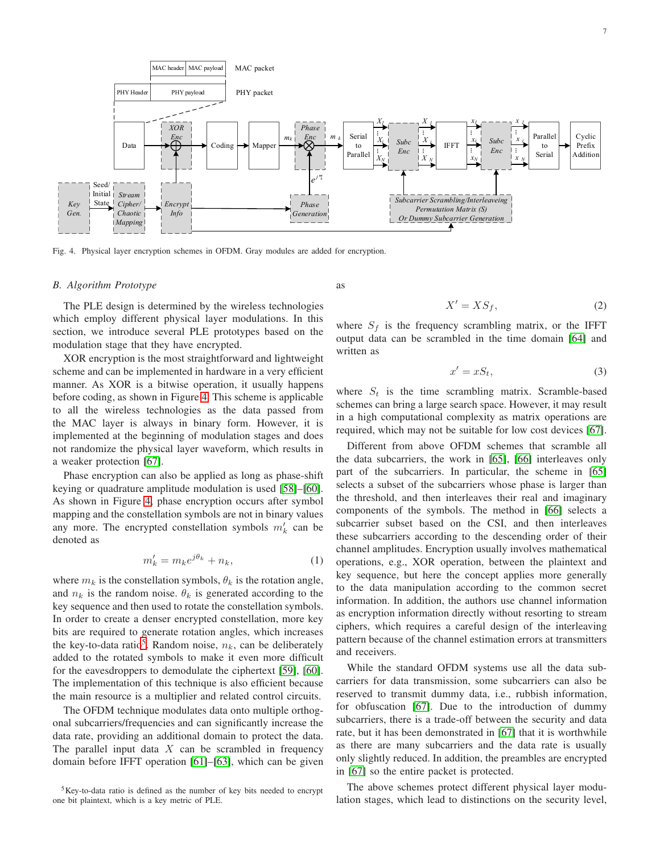

<span id="page-6-0"></span>Fig. 4. Physical layer encryption schemes in OFDM. Gray modules are added for encryption.

#### <span id="page-6-1"></span>*B. Algorithm Prototype*

The PLE design is determined by the wireless technologies which employ different physical layer modulations. In this section, we introduce several PLE prototypes based on the modulation stage that they have encrypted.

XOR encryption is the most straightforward and lightweight scheme and can be implemented in hardware in a very efficient manner. As XOR is a bitwise operation, it usually happens before coding, as shown in Figure [4.](#page-6-0) This scheme is applicable to all the wireless technologies as the data passed from the MAC layer is always in binary form. However, it is implemented at the beginning of modulation stages and does not randomize the physical layer waveform, which results in a weaker protection [\[67\]](#page-9-12).

Phase encryption can also be applied as long as phase-shift keying or quadrature amplitude modulation is used [\[58\]](#page-9-9)–[\[60\]](#page-9-10). As shown in Figure [4,](#page-6-0) phase encryption occurs after symbol mapping and the constellation symbols are not in binary values any more. The encrypted constellation symbols  $m'_k$  can be denoted as

$$
m'_k = m_k e^{j\theta_k} + n_k,\tag{1}
$$

where  $m_k$  is the constellation symbols,  $\theta_k$  is the rotation angle, and  $n_k$  is the random noise.  $\theta_k$  is generated according to the key sequence and then used to rotate the constellation symbols. In order to create a denser encrypted constellation, more key bits are required to generate rotation angles, which increases the key-to-data ratio<sup>5</sup>. Random noise,  $n_k$ , can be deliberately added to the rotated symbols to make it even more difficult for the eavesdroppers to demodulate the ciphertext [\[59\]](#page-9-13), [\[60\]](#page-9-10). The implementation of this technique is also efficient because the main resource is a multiplier and related control circuits.

The OFDM technique modulates data onto multiple orthogonal subcarriers/frequencies and can significantly increase the data rate, providing an additional domain to protect the data. The parallel input data  $X$  can be scrambled in frequency domain before IFFT operation [\[61\]](#page-9-11)–[\[63\]](#page-9-14), which can be given as

$$
X' = X S_f,\tag{2}
$$

where  $S_f$  is the frequency scrambling matrix, or the IFFT output data can be scrambled in the time domain [\[64\]](#page-9-15) and written as

$$
x' = xS_t,\tag{3}
$$

where  $S_t$  is the time scrambling matrix. Scramble-based schemes can bring a large search space. However, it may result in a high computational complexity as matrix operations are required, which may not be suitable for low cost devices [\[67\]](#page-9-12).

Different from above OFDM schemes that scramble all the data subcarriers, the work in [\[65\]](#page-9-16), [\[66\]](#page-9-17) interleaves only part of the subcarriers. In particular, the scheme in [\[65\]](#page-9-16) selects a subset of the subcarriers whose phase is larger than the threshold, and then interleaves their real and imaginary components of the symbols. The method in [\[66\]](#page-9-17) selects a subcarrier subset based on the CSI, and then interleaves these subcarriers according to the descending order of their channel amplitudes. Encryption usually involves mathematical operations, e.g., XOR operation, between the plaintext and key sequence, but here the concept applies more generally to the data manipulation according to the common secret information. In addition, the authors use channel information as encryption information directly without resorting to stream ciphers, which requires a careful design of the interleaving pattern because of the channel estimation errors at transmitters and receivers.

While the standard OFDM systems use all the data subcarriers for data transmission, some subcarriers can also be reserved to transmit dummy data, i.e., rubbish information, for obfuscation [\[67\]](#page-9-12). Due to the introduction of dummy subcarriers, there is a trade-off between the security and data rate, but it has been demonstrated in [\[67\]](#page-9-12) that it is worthwhile as there are many subcarriers and the data rate is usually only slightly reduced. In addition, the preambles are encrypted in [\[67\]](#page-9-12) so the entire packet is protected.

The above schemes protect different physical layer modulation stages, which lead to distinctions on the security level,

<sup>5</sup>Key-to-data ratio is defined as the number of key bits needed to encrypt one bit plaintext, which is a key metric of PLE.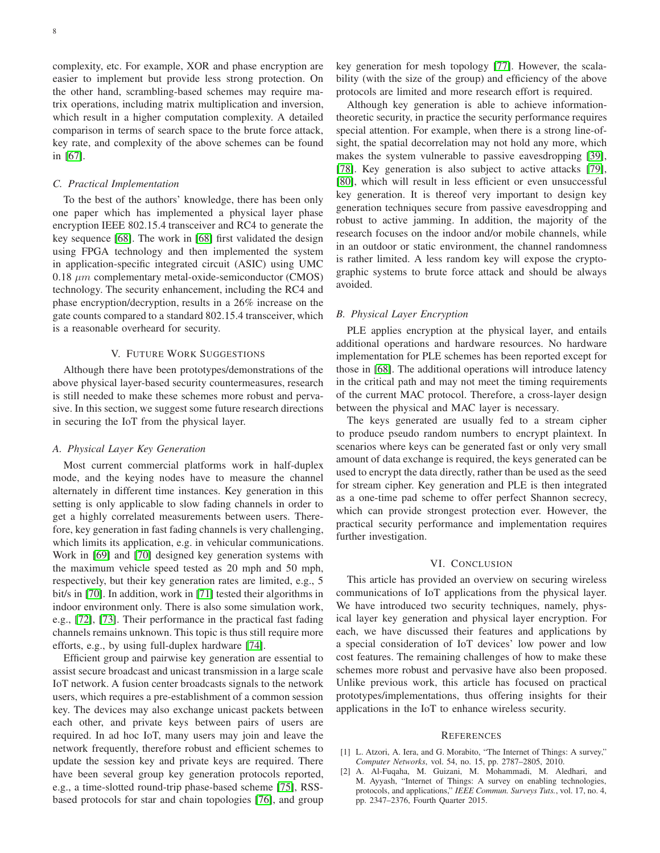complexity, etc. For example, XOR and phase encryption are easier to implement but provide less strong protection. On the other hand, scrambling-based schemes may require matrix operations, including matrix multiplication and inversion, which result in a higher computation complexity. A detailed comparison in terms of search space to the brute force attack, key rate, and complexity of the above schemes can be found in [\[67\]](#page-9-12).

#### *C. Practical Implementation*

To the best of the authors' knowledge, there has been only one paper which has implemented a physical layer phase encryption IEEE 802.15.4 transceiver and RC4 to generate the key sequence [\[68\]](#page-9-18). The work in [\[68\]](#page-9-18) first validated the design using FPGA technology and then implemented the system in application-specific integrated circuit (ASIC) using UMC 0.18  $\mu$ m complementary metal-oxide-semiconductor (CMOS) technology. The security enhancement, including the RC4 and phase encryption/decryption, results in a 26% increase on the gate counts compared to a standard 802.15.4 transceiver, which is a reasonable overheard for security.

## V. FUTURE WORK SUGGESTIONS

<span id="page-7-2"></span>Although there have been prototypes/demonstrations of the above physical layer-based security countermeasures, research is still needed to make these schemes more robust and pervasive. In this section, we suggest some future research directions in securing the IoT from the physical layer.

## *A. Physical Layer Key Generation*

Most current commercial platforms work in half-duplex mode, and the keying nodes have to measure the channel alternately in different time instances. Key generation in this setting is only applicable to slow fading channels in order to get a highly correlated measurements between users. Therefore, key generation in fast fading channels is very challenging, which limits its application, e.g. in vehicular communications. Work in [\[69\]](#page-9-19) and [\[70\]](#page-9-20) designed key generation systems with the maximum vehicle speed tested as 20 mph and 50 mph, respectively, but their key generation rates are limited, e.g., 5 bit/s in [\[70\]](#page-9-20). In addition, work in [\[71\]](#page-9-21) tested their algorithms in indoor environment only. There is also some simulation work, e.g., [\[72\]](#page-9-22), [\[73\]](#page-9-23). Their performance in the practical fast fading channels remains unknown. This topic is thus still require more efforts, e.g., by using full-duplex hardware [\[74\]](#page-9-24).

Efficient group and pairwise key generation are essential to assist secure broadcast and unicast transmission in a large scale IoT network. A fusion center broadcasts signals to the network users, which requires a pre-establishment of a common session key. The devices may also exchange unicast packets between each other, and private keys between pairs of users are required. In ad hoc IoT, many users may join and leave the network frequently, therefore robust and efficient schemes to update the session key and private keys are required. There have been several group key generation protocols reported, e.g., a time-slotted round-trip phase-based scheme [\[75\]](#page-9-25), RSSbased protocols for star and chain topologies [\[76\]](#page-9-26), and group

key generation for mesh topology [\[77\]](#page-9-27). However, the scalability (with the size of the group) and efficiency of the above protocols are limited and more research effort is required.

Although key generation is able to achieve informationtheoretic security, in practice the security performance requires special attention. For example, when there is a strong line-ofsight, the spatial decorrelation may not hold any more, which makes the system vulnerable to passive eavesdropping [\[39\]](#page-8-32), [\[78\]](#page-9-28). Key generation is also subject to active attacks [\[79\]](#page-9-29), [\[80\]](#page-9-30), which will result in less efficient or even unsuccessful key generation. It is thereof very important to design key generation techniques secure from passive eavesdropping and robust to active jamming. In addition, the majority of the research focuses on the indoor and/or mobile channels, while in an outdoor or static environment, the channel randomness is rather limited. A less random key will expose the cryptographic systems to brute force attack and should be always avoided.

# *B. Physical Layer Encryption*

PLE applies encryption at the physical layer, and entails additional operations and hardware resources. No hardware implementation for PLE schemes has been reported except for those in [\[68\]](#page-9-18). The additional operations will introduce latency in the critical path and may not meet the timing requirements of the current MAC protocol. Therefore, a cross-layer design between the physical and MAC layer is necessary.

The keys generated are usually fed to a stream cipher to produce pseudo random numbers to encrypt plaintext. In scenarios where keys can be generated fast or only very small amount of data exchange is required, the keys generated can be used to encrypt the data directly, rather than be used as the seed for stream cipher. Key generation and PLE is then integrated as a one-time pad scheme to offer perfect Shannon secrecy, which can provide strongest protection ever. However, the practical security performance and implementation requires further investigation.

# VI. CONCLUSION

<span id="page-7-3"></span>This article has provided an overview on securing wireless communications of IoT applications from the physical layer. We have introduced two security techniques, namely, physical layer key generation and physical layer encryption. For each, we have discussed their features and applications by a special consideration of IoT devices' low power and low cost features. The remaining challenges of how to make these schemes more robust and pervasive have also been proposed. Unlike previous work, this article has focused on practical prototypes/implementations, thus offering insights for their applications in the IoT to enhance wireless security.

### **REFERENCES**

- <span id="page-7-0"></span>[1] L. Atzori, A. Iera, and G. Morabito, "The Internet of Things: A survey," *Computer Networks*, vol. 54, no. 15, pp. 2787–2805, 2010.
- <span id="page-7-1"></span>[2] A. Al-Fuqaha, M. Guizani, M. Mohammadi, M. Aledhari, and M. Ayyash, "Internet of Things: A survey on enabling technologies, protocols, and applications," *IEEE Commun. Surveys Tuts.*, vol. 17, no. 4, pp. 2347–2376, Fourth Quarter 2015.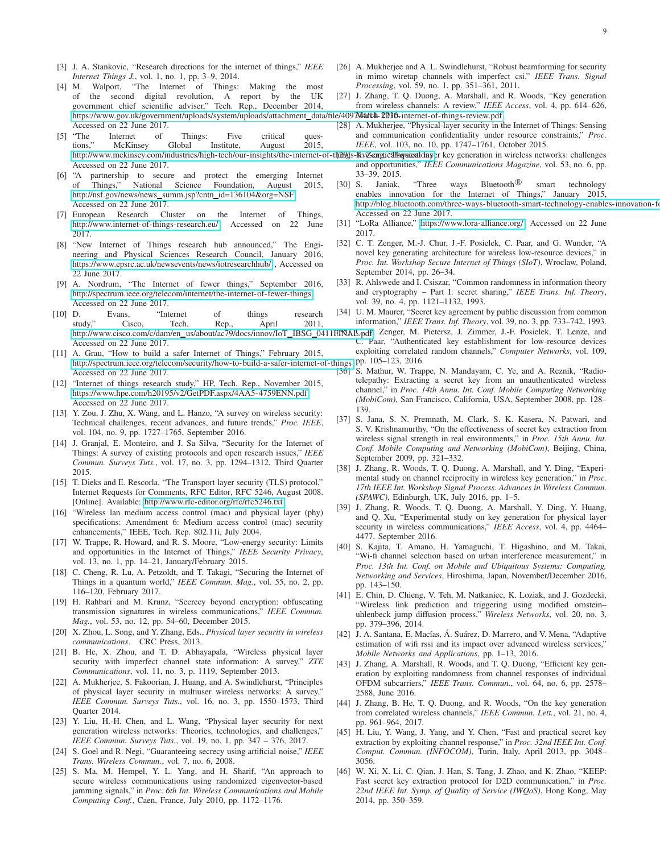- <span id="page-8-0"></span>[3] J. A. Stankovic, "Research directions for the internet of things," *IEEE Internet Things J.*, vol. 1, no. 1, pp. 3–9, 2014.
- <span id="page-8-1"></span>[4] M. Walport, "The Internet of Things: Making the most of the second digital revolution, A report by the UK government chief scientific adviser," Tech. Rep., December 2014, [https://www.gov.uk/government/uploads/system/uploads/attachment](https://www.gov.uk/government/uploads/system/uploads/attachment_data/file/409774/14-1230-internet-of-things-review.pdf)\_data/file/409704ut4h-2036-internet-of-things-review.pdf, Accessed on 22 June 2017.
- <span id="page-8-2"></span>[5] "The Internet of Things: Five critical questions," McKinsey Global Institute, August 2015, Accessed on 22 June 2017.
- <span id="page-8-3"></span>[6] "A partnership to secure and protect the emerging Internet of Things," National Science Foundation, August 2015, [http://nsf.gov/news/news](http://nsf.gov/news/news_summ.jsp?cntn_id=136104&org=NSF)\_summ.jsp?cntn\_id=136104&org=NSF, Accessed on 22 June 2017.
- <span id="page-8-4"></span>[7] European Research Cluster on the Internet of Things, [http://www.internet-of-things-research.eu/,](http://www.internet-of-things-research.eu/) Accessed on 22 June 2017.
- <span id="page-8-5"></span>[8] "New Internet of Things research hub announced," The Engineering and Physical Sciences Research Council, January 2016, <https://www.epsrc.ac.uk/newsevents/news/iotresearchhub/> , Accessed on 22 June 2017.
- <span id="page-8-6"></span>[9] A. Nordrum, "The Internet of fewer things," September 2016, [http://spectrum.ieee.org/telecom/internet/the-internet-of-fewer-things,](http://spectrum.ieee.org/telecom/internet/the-internet-of-fewer-things) Accessed on 22 June 2017.
- <span id="page-8-7"></span>[10] D. Evans, "Internet of things research study," Cisco, Tech. Rep., April 2011, [http://www.cisco.com/c/dam/en](http://www.cisco.com/c/dam/en_us/about/ac79/docs/innov/IoT_IBSG_0411FINAL.pdf)\_us/about/ac79/docs/innov/IoT\_IBSG\_0411fffNALCpdf; Zenger, M. Pietersz, J. Zimmer, J.-F. Posielek, T. Lenze, and Accessed on 22 June 2017.
- <span id="page-8-8"></span>[11] A. Grau, "How to build a safer Internet of Things," February 2015, [http://spectrum.ieee.org/telecom/security/how-to-build-a-safer-internet-of-things,](http://spectrum.ieee.org/telecom/security/how-to-build-a-safer-internet-of-things) pp. 105–123, 2016. Accessed on 22 June 2017.
- <span id="page-8-9"></span>[12] "Internet of things research study," HP, Tech. Rep., November 2015, [https://www.hpe.com/h20195/v2/GetPDF.aspx/4AA5-4759ENN.pdf,](https://www.hpe.com/h20195/v2/GetPDF.aspx/4AA5-4759ENN.pdf) Accessed on 22 June 2017.
- <span id="page-8-36"></span><span id="page-8-10"></span>[13] Y. Zou, J. Zhu, X. Wang, and L. Hanzo, "A survey on wireless security: Technical challenges, recent advances, and future trends," *Proc. IEEE*, vol. 104, no. 9, pp. 1727–1765, September 2016.
- <span id="page-8-35"></span><span id="page-8-11"></span>[14] J. Granjal, E. Monteiro, and J. Sa Silva, "Security for the Internet of Things: A survey of existing protocols and open research issues," *IEEE Commun. Surveys Tuts.*, vol. 17, no. 3, pp. 1294–1312, Third Quarter 2015.
- <span id="page-8-32"></span><span id="page-8-12"></span>[15] T. Dieks and E. Rescorla, "The Transport layer security (TLS) protocol," Internet Requests for Comments, RFC Editor, RFC 5246, August 2008. [Online]. Available:<http://www.rfc-editor.org/rfc/rfc5246.txt>
- <span id="page-8-13"></span>[16] "Wireless lan medium access control (mac) and physical layer (phy) specifications: Amendment 6: Medium access control (mac) security enhancements," IEEE, Tech. Rep. 802.11i, July 2004.
- <span id="page-8-38"></span><span id="page-8-14"></span>[17] W. Trappe, R. Howard, and R. S. Moore, "Low-energy security: Limits and opportunities in the Internet of Things," *IEEE Security Privacy*, vol. 13, no. 1, pp. 14–21, January/February 2015.
- <span id="page-8-15"></span>[18] C. Cheng, R. Lu, A. Petzoldt, and T. Takagi, "Securing the Internet of Things in a quantum world," *IEEE Commun. Mag.*, vol. 55, no. 2, pp. 116–120, February 2017.
- <span id="page-8-39"></span><span id="page-8-16"></span>[19] H. Rahbari and M. Krunz, "Secrecy beyond encryption: obfuscating transmission signatures in wireless communications," *IEEE Commun. Mag.*, vol. 53, no. 12, pp. 54–60, December 2015.
- <span id="page-8-40"></span><span id="page-8-17"></span>[20] X. Zhou, L. Song, and Y. Zhang, Eds., *Physical layer security in wireless communications*. CRC Press, 2013.
- <span id="page-8-33"></span>[21] B. He, X. Zhou, and T. D. Abhayapala, "Wireless physical layer security with imperfect channel state information: A survey," *ZTE Communications*, vol. 11, no. 3, p. 1119, September 2013.
- <span id="page-8-34"></span>[22] A. Mukherjee, S. Fakoorian, J. Huang, and A. Swindlehurst, "Principles of physical layer security in multiuser wireless networks: A survey," *IEEE Commun. Surveys Tuts.*, vol. 16, no. 3, pp. 1550–1573, Third Quarter 2014.
- <span id="page-8-37"></span><span id="page-8-18"></span>[23] Y. Liu, H.-H. Chen, and L. Wang, "Physical layer security for next generation wireless networks: Theories, technologies, and challenges," *IEEE Commun. Surveys Tuts.*, vol. 19, no. 1, pp. 347 – 376, 2017.
- <span id="page-8-19"></span>[24] S. Goel and R. Negi, "Guaranteeing secrecy using artificial noise," *IEEE Trans. Wireless Commun.*, vol. 7, no. 6, 2008.
- <span id="page-8-20"></span>[25] S. Ma, M. Hempel, Y. L. Yang, and H. Sharif, "An approach to secure wireless communications using randomized eigenvector-based jamming signals," in *Proc. 6th Int. Wireless Communications and Mobile Computing Conf.*, Caen, France, July 2010, pp. 1172–1176.
- <span id="page-8-21"></span>[26] A. Mukherjee and A. L. Swindlehurst, "Robust beamforming for security in mimo wiretap channels with imperfect csi," *IEEE Trans. Signal Processing*, vol. 59, no. 1, pp. 351–361, 2011.
- <span id="page-8-22"></span>[27] J. Zhang, T. Q. Duong, A. Marshall, and R. Woods, "Key generation from wireless channels: A review," *IEEE Access*, vol. 4, pp. 614–626,
- <span id="page-8-31"></span><span id="page-8-30"></span><span id="page-8-29"></span><span id="page-8-28"></span><span id="page-8-27"></span><span id="page-8-26"></span><span id="page-8-25"></span><span id="page-8-24"></span><span id="page-8-23"></span>[28] A. Mukherjee, "Physical-layer security in the Internet of Things: Sensing and communication confidentiality under resource constraints," *Proc. IEEE*, vol. 103, no. 10, pp. 1747–1761, October 2015.
- http://www.mckinsey.com/industries/high-tech/our-insights/the-internet-of-thing S-Kive-arigid Hagrical dayer key generation in wireless networks: challenges and opportunities," *IEEE Communications Magazine*, vol. 53, no. 6, pp. 33–39, 2015.
	- [30] S. Janiak, "Three ways Bluetooth<sup>®</sup> smart technology enables innovation for the Internet of Things," January 2015, http://blog.bluetooth.com/three-ways-bluetooth-smart-technology-enables-innovation-fo Accessed on 22 June 2017.
	- [31] "LoRa Alliance," [https://www.lora-alliance.org/,](https://www.lora-alliance.org/) Accessed on 22 June 2017.
	- [32] C. T. Zenger, M.-J. Chur, J.-F. Posielek, C. Paar, and G. Wunder, "A novel key generating architecture for wireless low-resource devices," in *Proc. Int. Workshop Secure Internet of Things (SIoT)*, Wroclaw, Poland, September 2014, pp. 26–34.
	- [33] R. Ahlswede and I. Csiszar, "Common randomness in information theory and cryptography – Part I: secret sharing," *IEEE Trans. Inf. Theory*, vol. 39, no. 4, pp. 1121–1132, 1993.
	- [34] U. M. Maurer, "Secret key agreement by public discussion from common information," *IEEE Trans. Inf. Theory*, vol. 39, no. 3, pp. 733–742, 1993.
	- Paar, "Authenticated key establishment for low-resource devices exploiting correlated random channels," *Computer Networks*, vol. 109,
	- [36] S. Mathur, W. Trappe, N. Mandayam, C. Ye, and A. Reznik, "Radiotelepathy: Extracting a secret key from an unauthenticated wireless channel," in *Proc. 14th Annu. Int. Conf. Mobile Computing Networking (MobiCom)*, San Francisco, California, USA, September 2008, pp. 128– 139.
	- [37] S. Jana, S. N. Premnath, M. Clark, S. K. Kasera, N. Patwari, and S. V. Krishnamurthy, "On the effectiveness of secret key extraction from wireless signal strength in real environments," in *Proc. 15th Annu. Int. Conf. Mobile Computing and Networking (MobiCom)*, Beijing, China, September 2009, pp. 321–332.
	- [38] J. Zhang, R. Woods, T. Q. Duong, A. Marshall, and Y. Ding, "Experimental study on channel reciprocity in wireless key generation," in *Proc. 17th IEEE Int. Workshop Signal Process. Advances in Wireless Commun. (SPAWC)*, Edinburgh, UK, July 2016, pp. 1–5.
	- [39] J. Zhang, R. Woods, T. Q. Duong, A. Marshall, Y. Ding, Y. Huang, and Q. Xu, "Experimental study on key generation for physical layer security in wireless communications," *IEEE Access*, vol. 4, pp. 4464– 4477, September 2016.
	- [40] S. Kajita, T. Amano, H. Yamaguchi, T. Higashino, and M. Takai, "Wi-fi channel selection based on urban interference measurement," in *Proc. 13th Int. Conf. on Mobile and Ubiquitous Systems: Computing, Networking and Services*, Hiroshima, Japan, November/December 2016, pp. 143–150.
	- [41] E. Chin, D. Chieng, V. Teh, M. Natkaniec, K. Loziak, and J. Gozdecki, "Wireless link prediction and triggering using modified ornstein– uhlenbeck jump diffusion process," *Wireless Networks*, vol. 20, no. 3, pp. 379–396, 2014.
	- [42] J. A. Santana, E. Macías, Á. Suárez, D. Marrero, and V. Mena, "Adaptive estimation of wifi rssi and its impact over advanced wireless services," *Mobile Networks and Applications*, pp. 1–13, 2016.
	- [43] J. Zhang, A. Marshall, R. Woods, and T. Q. Duong, "Efficient key generation by exploiting randomness from channel responses of individual OFDM subcarriers," *IEEE Trans. Commun.*, vol. 64, no. 6, pp. 2578– 2588, June 2016.
	- [44] J. Zhang, B. He, T. Q. Duong, and R. Woods, "On the key generation from correlated wireless channels," *IEEE Commun. Lett.*, vol. 21, no. 4, pp. 961–964, 2017.
	- [45] H. Liu, Y. Wang, J. Yang, and Y. Chen, "Fast and practical secret key extraction by exploiting channel response," in *Proc. 32nd IEEE Int. Conf. Comput. Commun. (INFOCOM)*, Turin, Italy, April 2013, pp. 3048– 3056.
	- [46] W. Xi, X. Li, C. Qian, J. Han, S. Tang, J. Zhao, and K. Zhao, "KEEP: Fast secret key extraction protocol for D2D communication," in *Proc. 22nd IEEE Int. Symp. of Quality of Service (IWQoS)*, Hong Kong, May 2014, pp. 350–359.